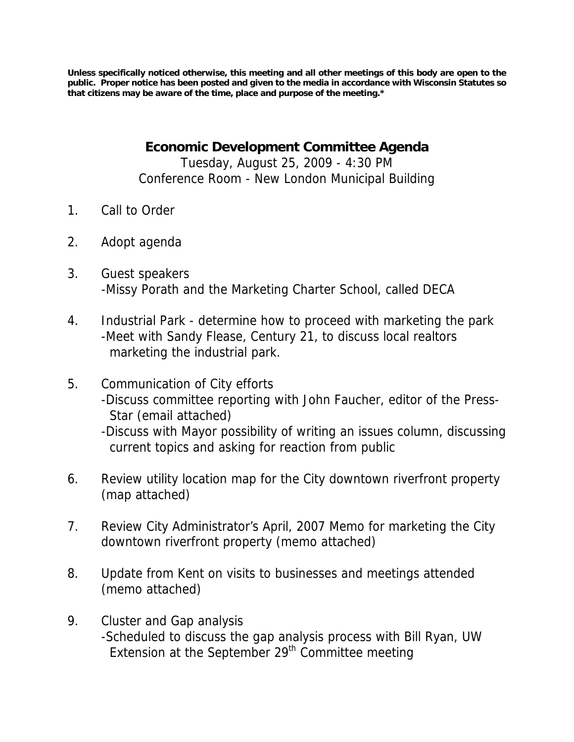**Unless specifically noticed otherwise, this meeting and all other meetings of this body are open to the public. Proper notice has been posted and given to the media in accordance with Wisconsin Statutes so that citizens may be aware of the time, place and purpose of the meeting.\*** 

**Economic Development Committee Agenda** 

Tuesday, August 25, 2009 - 4:30 PM Conference Room - New London Municipal Building

- 1. Call to Order
- 2. Adopt agenda
- 3. Guest speakers -Missy Porath and the Marketing Charter School, called DECA
- 4. Industrial Park determine how to proceed with marketing the park -Meet with Sandy Flease, Century 21, to discuss local realtors marketing the industrial park.
- 5. Communication of City efforts
	- -Discuss committee reporting with John Faucher, editor of the Press-Star (email attached)

-Discuss with Mayor possibility of writing an issues column, discussing current topics and asking for reaction from public

- 6. Review utility location map for the City downtown riverfront property (map attached)
- 7. Review City Administrator's April, 2007 Memo for marketing the City downtown riverfront property (memo attached)
- 8. Update from Kent on visits to businesses and meetings attended (memo attached)
- 9. Cluster and Gap analysis -Scheduled to discuss the gap analysis process with Bill Ryan, UW Extension at the September 29<sup>th</sup> Committee meeting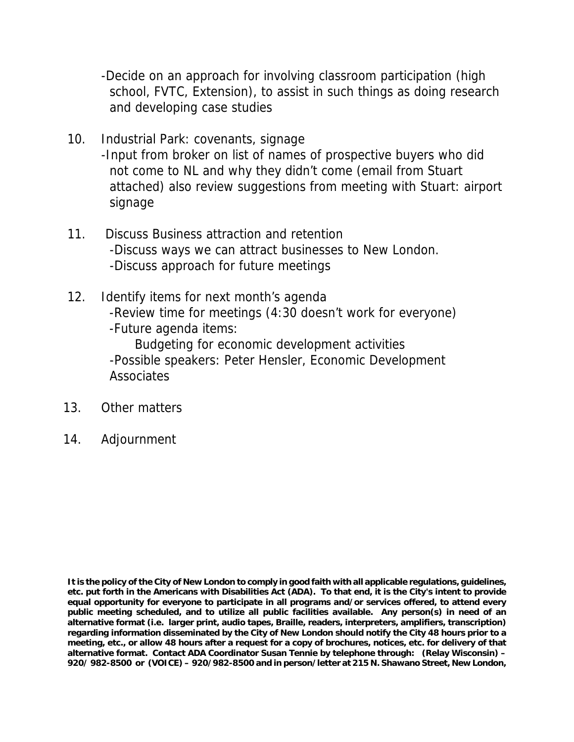-Decide on an approach for involving classroom participation (high school, FVTC, Extension), to assist in such things as doing research and developing case studies

- 10. Industrial Park: covenants, signage -Input from broker on list of names of prospective buyers who did not come to NL and why they didn't come (email from Stuart attached) also review suggestions from meeting with Stuart: airport signage
- 11. Discuss Business attraction and retention -Discuss ways we can attract businesses to New London. -Discuss approach for future meetings
- 12. Identify items for next month's agenda -Review time for meetings (4:30 doesn't work for everyone) -Future agenda items: Budgeting for economic development activities -Possible speakers: Peter Hensler, Economic Development **Associates**
- 13. Other matters
- 14. Adjournment

**It is the policy of the City of New London to comply in good faith with all applicable regulations, guidelines, etc. put forth in the Americans with Disabilities Act (ADA). To that end, it is the City's intent to provide equal opportunity for everyone to participate in all programs and/or services offered, to attend every public meeting scheduled, and to utilize all public facilities available. Any person(s) in need of an alternative format (i.e. larger print, audio tapes, Braille, readers, interpreters, amplifiers, transcription) regarding information disseminated by the City of New London should notify the City 48 hours prior to a meeting, etc., or allow 48 hours after a request for a copy of brochures, notices, etc. for delivery of that alternative format. Contact ADA Coordinator Susan Tennie by telephone through: (Relay Wisconsin) – 920/ 982-8500 or (VOICE) – 920/982-8500 and in person/letter at 215 N. Shawano Street, New London,**